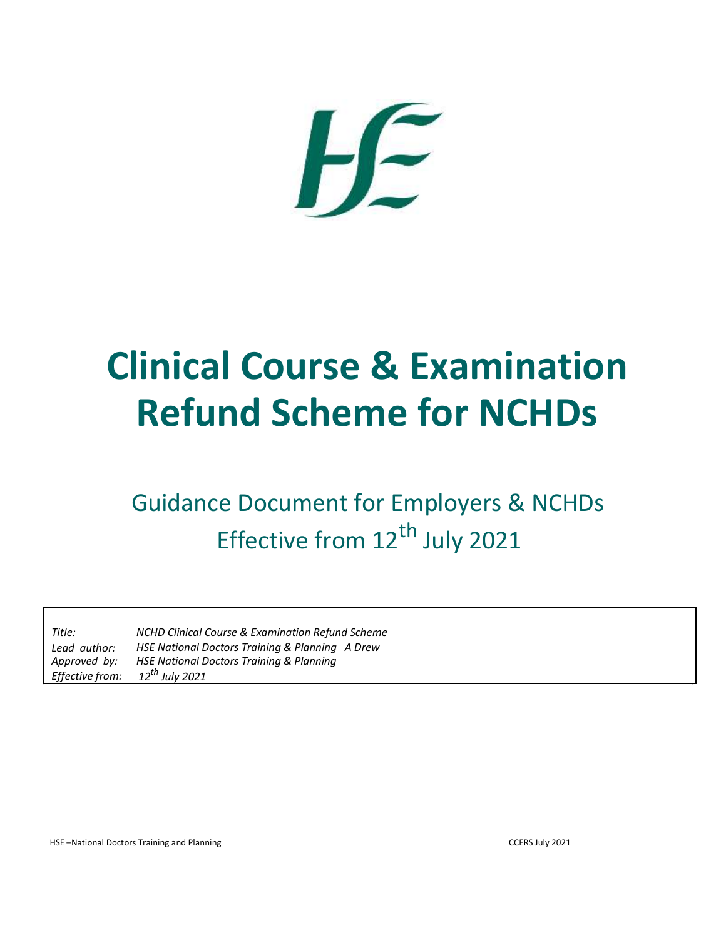

## **Clinical Course & Examination Refund Scheme for NCHDs**

## Guidance Document for Employers & NCHDs Effective from 12<sup>th</sup> July 2021

| Title:          | <b>NCHD Clinical Course &amp; Examination Refund Scheme</b> |
|-----------------|-------------------------------------------------------------|
| Lead author:    | HSE National Doctors Training & Planning A Drew             |
| Approved by:    | <b>HSE National Doctors Training &amp; Planning</b>         |
| Effective from: | 12 <sup>th</sup> July 2021                                  |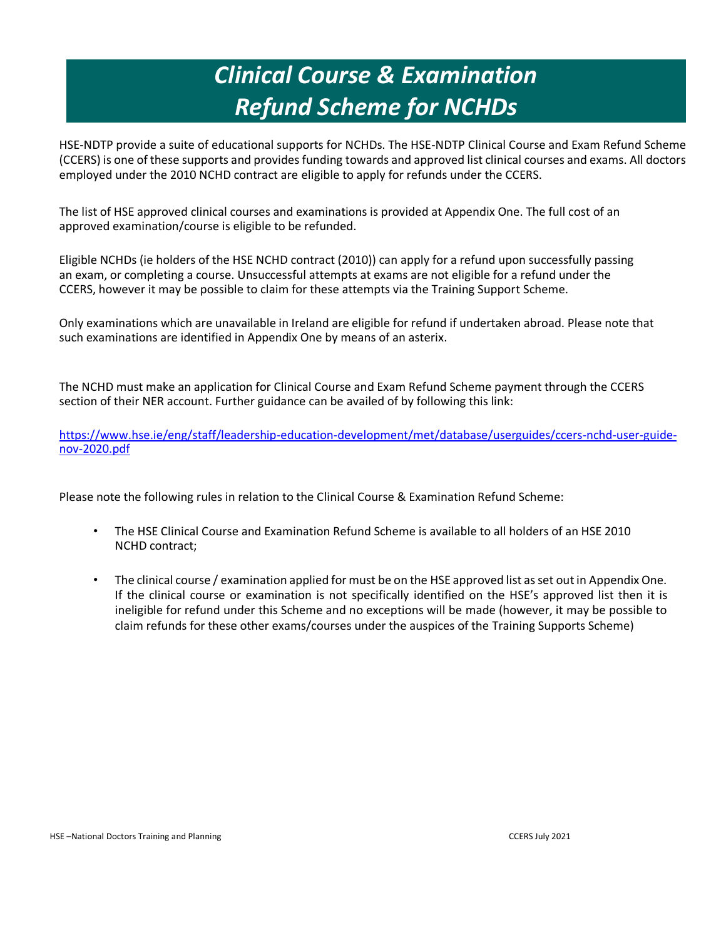## *Clinical Course & Examination Refund Scheme for NCHDs*

HSE-NDTP provide a suite of educational supports for NCHDs. The HSE-NDTP Clinical Course and Exam Refund Scheme (CCERS) is one of these supports and provides funding towards and approved list clinical courses and exams. All doctors employed under the 2010 NCHD contract are eligible to apply for refunds under the CCERS.

The list of HSE approved clinical courses and examinations is provided at Appendix One. The full cost of an approved examination/course is eligible to be refunded.

Eligible NCHDs (ie holders of the HSE NCHD contract (2010)) can apply for a refund upon successfully passing an exam, or completing a course. Unsuccessful attempts at exams are not eligible for a refund under the CCERS, however it may be possible to claim for these attempts via the Training Support Scheme.

Only examinations which are unavailable in Ireland are eligible for refund if undertaken abroad. Please note that such examinations are identified in Appendix One by means of an asterix.

The NCHD must make an application for Clinical Course and Exam Refund Scheme payment through the CCERS section of their NER account. Further guidance can be availed of by following this link:

[https://www.hse.ie/eng/staff/leadership-education-development/met/database/userguides/ccers-nchd-user-guide](https://www.hse.ie/eng/staff/leadership-education-development/met/database/userguides/ccers-nchd-user-guide-nov-2020.pdf)[nov-2020.pdf](https://www.hse.ie/eng/staff/leadership-education-development/met/database/userguides/ccers-nchd-user-guide-nov-2020.pdf)

Please note the following rules in relation to the Clinical Course & Examination Refund Scheme:

- The HSE Clinical Course and Examination Refund Scheme is available to all holders of an HSE 2010 NCHD contract;
- The clinical course / examination applied for must be on the HSE approved list as set out in Appendix One. If the clinical course or examination is not specifically identified on the HSE's approved list then it is ineligible for refund under this Scheme and no exceptions will be made (however, it may be possible to claim refunds for these other exams/courses under the auspices of the Training Supports Scheme)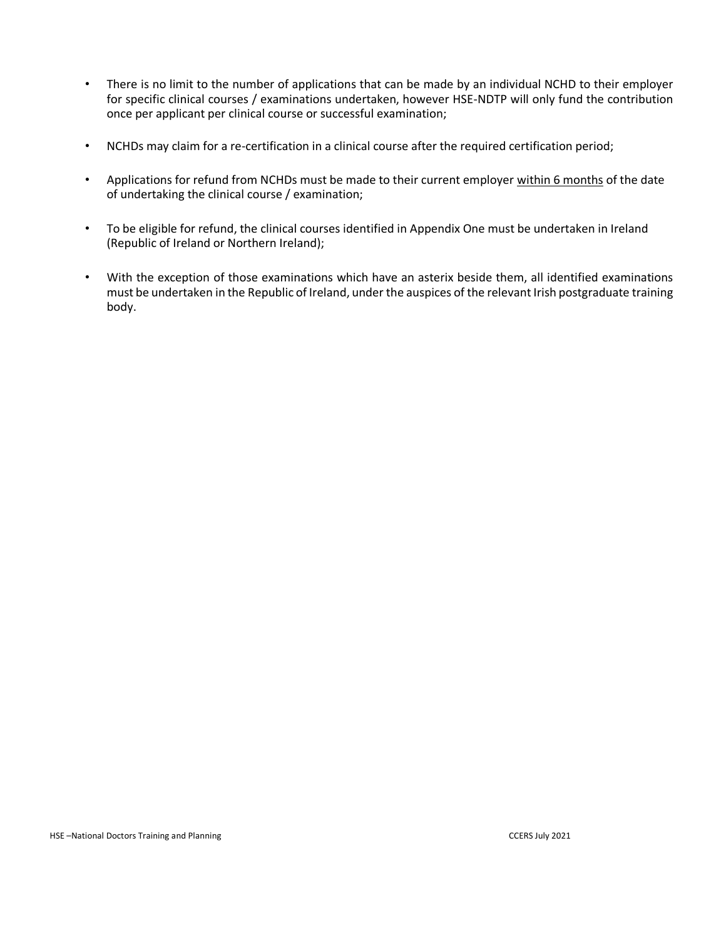- There is no limit to the number of applications that can be made by an individual NCHD to their employer for specific clinical courses / examinations undertaken, however HSE-NDTP will only fund the contribution once per applicant per clinical course or successful examination;
- NCHDs may claim for a re-certification in a clinical course after the required certification period;
- Applications for refund from NCHDs must be made to their current employer within 6 months of the date of undertaking the clinical course / examination;
- To be eligible for refund, the clinical courses identified in Appendix One must be undertaken in Ireland (Republic of Ireland or Northern Ireland);
- With the exception of those examinations which have an asterix beside them, all identified examinations must be undertaken in the Republic of Ireland, under the auspices of the relevant Irish postgraduate training body.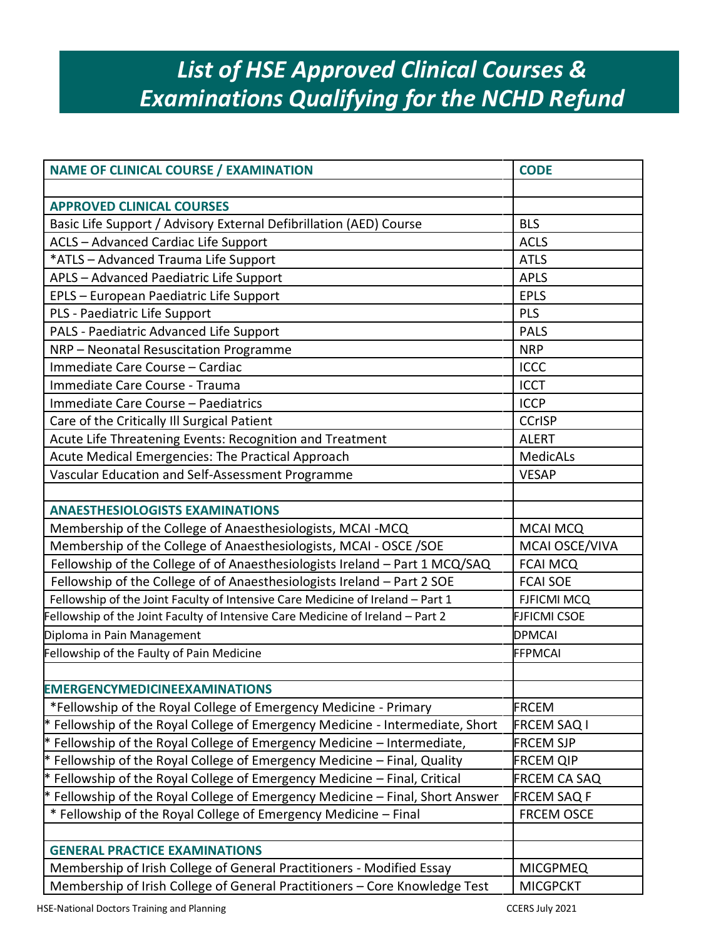## *List of HSE Approved Clinical Courses & Examinations Qualifying for the NCHD Refund*

| <b>NAME OF CLINICAL COURSE / EXAMINATION</b>                                   | <b>CODE</b>         |
|--------------------------------------------------------------------------------|---------------------|
|                                                                                |                     |
| <b>APPROVED CLINICAL COURSES</b>                                               |                     |
| Basic Life Support / Advisory External Defibrillation (AED) Course             | <b>BLS</b>          |
| ACLS - Advanced Cardiac Life Support                                           | <b>ACLS</b>         |
| *ATLS - Advanced Trauma Life Support                                           | <b>ATLS</b>         |
| APLS - Advanced Paediatric Life Support                                        | <b>APLS</b>         |
| EPLS - European Paediatric Life Support                                        | <b>EPLS</b>         |
| PLS - Paediatric Life Support                                                  | PLS                 |
| PALS - Paediatric Advanced Life Support                                        | <b>PALS</b>         |
| NRP - Neonatal Resuscitation Programme                                         | <b>NRP</b>          |
| Immediate Care Course - Cardiac                                                | <b>ICCC</b>         |
| Immediate Care Course - Trauma                                                 | <b>ICCT</b>         |
| Immediate Care Course - Paediatrics                                            | <b>ICCP</b>         |
| Care of the Critically Ill Surgical Patient                                    | <b>CCrISP</b>       |
| Acute Life Threatening Events: Recognition and Treatment                       | <b>ALERT</b>        |
| Acute Medical Emergencies: The Practical Approach                              | <b>MedicALs</b>     |
| Vascular Education and Self-Assessment Programme                               | <b>VESAP</b>        |
|                                                                                |                     |
| <b>ANAESTHESIOLOGISTS EXAMINATIONS</b>                                         |                     |
| Membership of the College of Anaesthesiologists, MCAI -MCQ                     | <b>MCAI MCQ</b>     |
| Membership of the College of Anaesthesiologists, MCAI - OSCE / SOE             | MCAI OSCE/VIVA      |
| Fellowship of the College of of Anaesthesiologists Ireland - Part 1 MCQ/SAQ    | <b>FCAI MCQ</b>     |
| Fellowship of the College of of Anaesthesiologists Ireland - Part 2 SOE        | <b>FCAI SOE</b>     |
| Fellowship of the Joint Faculty of Intensive Care Medicine of Ireland - Part 1 | <b>FJFICMI MCQ</b>  |
| Fellowship of the Joint Faculty of Intensive Care Medicine of Ireland - Part 2 | <b>FJFICMI CSOE</b> |
| Diploma in Pain Management                                                     | <b>DPMCAI</b>       |
| Fellowship of the Faulty of Pain Medicine                                      | <b>FFPMCAI</b>      |
|                                                                                |                     |
| <b>EMERGENCYMEDICINEEXAMINATIONS</b>                                           |                     |
| *Fellowship of the Royal College of Emergency Medicine - Primary               | <b>FRCEM</b>        |
| * Fellowship of the Royal College of Emergency Medicine - Intermediate, Short  | FRCEM SAQ I         |
| * Fellowship of the Royal College of Emergency Medicine – Intermediate,        | <b>FRCEM SJP</b>    |
| $*$ Fellowship of the Royal College of Emergency Medicine $-$ Final, Quality   | FRCEM QIP           |
| * Fellowship of the Royal College of Emergency Medicine – Final, Critical      | FRCEM CA SAQ        |
| * Fellowship of the Royal College of Emergency Medicine - Final, Short Answer  | <b>FRCEM SAQ F</b>  |
| * Fellowship of the Royal College of Emergency Medicine - Final                | <b>FRCEM OSCE</b>   |
|                                                                                |                     |
| <b>GENERAL PRACTICE EXAMINATIONS</b>                                           |                     |
| Membership of Irish College of General Practitioners - Modified Essay          | <b>MICGPMEQ</b>     |
| Membership of Irish College of General Practitioners - Core Knowledge Test     | <b>MICGPCKT</b>     |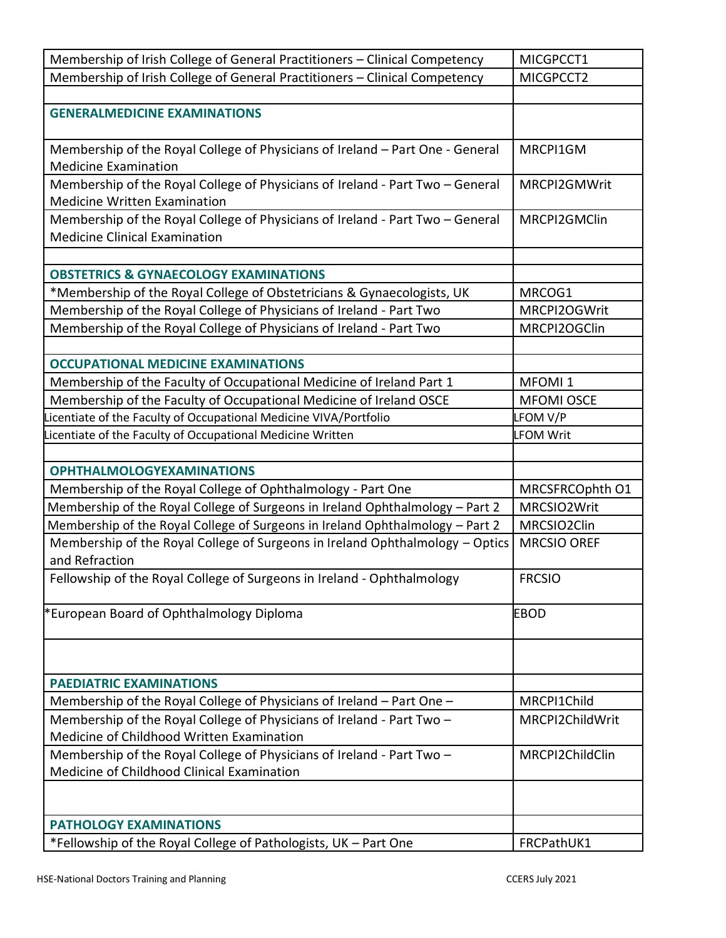| Membership of Irish College of General Practitioners - Clinical Competency                                            | MICGPCCT1          |
|-----------------------------------------------------------------------------------------------------------------------|--------------------|
| Membership of Irish College of General Practitioners - Clinical Competency                                            | MICGPCCT2          |
|                                                                                                                       |                    |
| <b>GENERALMEDICINE EXAMINATIONS</b>                                                                                   |                    |
| Membership of the Royal College of Physicians of Ireland - Part One - General<br><b>Medicine Examination</b>          | MRCPI1GM           |
| Membership of the Royal College of Physicians of Ireland - Part Two - General<br><b>Medicine Written Examination</b>  | MRCPI2GMWrit       |
| Membership of the Royal College of Physicians of Ireland - Part Two - General<br><b>Medicine Clinical Examination</b> | MRCPI2GMClin       |
|                                                                                                                       |                    |
| <b>OBSTETRICS &amp; GYNAECOLOGY EXAMINATIONS</b>                                                                      |                    |
| *Membership of the Royal College of Obstetricians & Gynaecologists, UK                                                | MRCOG1             |
| Membership of the Royal College of Physicians of Ireland - Part Two                                                   | MRCPI2OGWrit       |
| Membership of the Royal College of Physicians of Ireland - Part Two                                                   | MRCPI2OGClin       |
| <b>OCCUPATIONAL MEDICINE EXAMINATIONS</b>                                                                             |                    |
| Membership of the Faculty of Occupational Medicine of Ireland Part 1                                                  | MFOMI <sub>1</sub> |
| Membership of the Faculty of Occupational Medicine of Ireland OSCE                                                    | <b>MFOMI OSCE</b>  |
| icentiate of the Faculty of Occupational Medicine VIVA/Portfolio                                                      | LFOM V/P           |
| Licentiate of the Faculty of Occupational Medicine Written                                                            | <b>FOM Writ</b>    |
|                                                                                                                       |                    |
| <b>OPHTHALMOLOGYEXAMINATIONS</b>                                                                                      |                    |
| Membership of the Royal College of Ophthalmology - Part One                                                           | MRCSFRCOphth O1    |
| Membership of the Royal College of Surgeons in Ireland Ophthalmology - Part 2                                         | MRCSIO2Writ        |
| Membership of the Royal College of Surgeons in Ireland Ophthalmology - Part 2                                         | MRCSIO2Clin        |
| Membership of the Royal College of Surgeons in Ireland Ophthalmology - Optics<br>and Refraction                       | <b>MRCSIO OREF</b> |
| Fellowship of the Royal College of Surgeons in Ireland - Ophthalmology                                                | <b>FRCSIO</b>      |
| *European Board of Ophthalmology Diploma                                                                              | <b>EBOD</b>        |
|                                                                                                                       |                    |
| <b>PAEDIATRIC EXAMINATIONS</b>                                                                                        |                    |
| Membership of the Royal College of Physicians of Ireland – Part One –                                                 | MRCPI1Child        |
| Membership of the Royal College of Physicians of Ireland - Part Two -<br>Medicine of Childhood Written Examination    | MRCPI2ChildWrit    |
| Membership of the Royal College of Physicians of Ireland - Part Two -<br>Medicine of Childhood Clinical Examination   | MRCPI2ChildClin    |
|                                                                                                                       |                    |
| <b>PATHOLOGY EXAMINATIONS</b>                                                                                         |                    |
| *Fellowship of the Royal College of Pathologists, UK - Part One                                                       | FRCPathUK1         |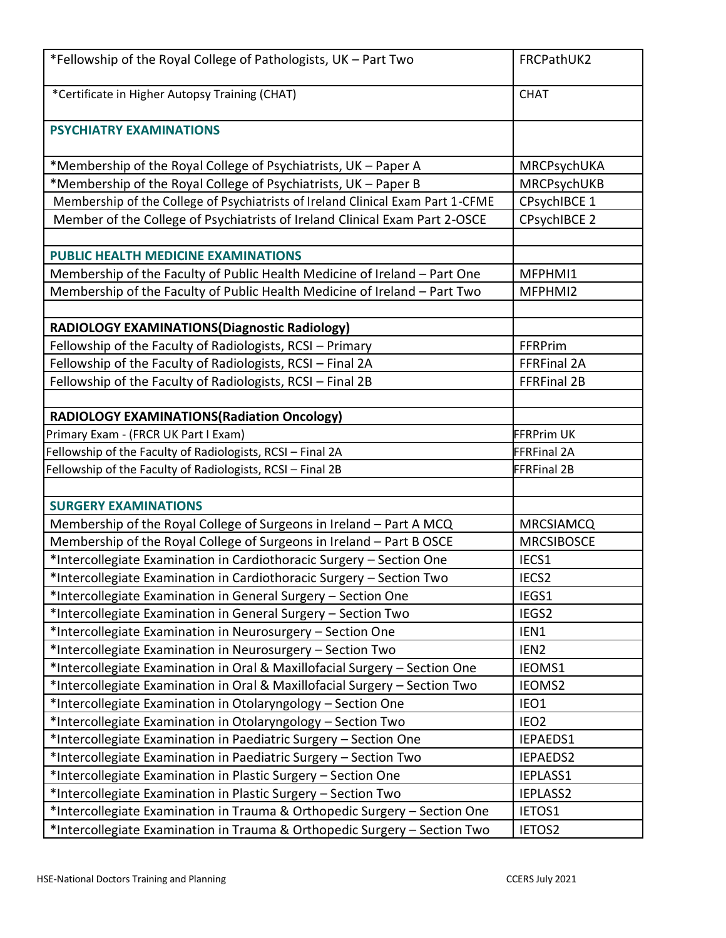| *Fellowship of the Royal College of Pathologists, UK - Part Two                 | FRCPathUK2           |
|---------------------------------------------------------------------------------|----------------------|
| *Certificate in Higher Autopsy Training (CHAT)                                  | <b>CHAT</b>          |
| <b>PSYCHIATRY EXAMINATIONS</b>                                                  |                      |
| *Membership of the Royal College of Psychiatrists, UK - Paper A                 | MRCPsychUKA          |
| *Membership of the Royal College of Psychiatrists, UK - Paper B                 | MRCPsychUKB          |
| Membership of the College of Psychiatrists of Ireland Clinical Exam Part 1-CFME | CPsychIBCE 1         |
| Member of the College of Psychiatrists of Ireland Clinical Exam Part 2-OSCE     | <b>CPsychIBCE 2</b>  |
|                                                                                 |                      |
| <b>PUBLIC HEALTH MEDICINE EXAMINATIONS</b>                                      |                      |
| Membership of the Faculty of Public Health Medicine of Ireland - Part One       | MFPHMI1              |
| Membership of the Faculty of Public Health Medicine of Ireland - Part Two       | MFPHMI2              |
|                                                                                 |                      |
| RADIOLOGY EXAMINATIONS(Diagnostic Radiology)                                    |                      |
| Fellowship of the Faculty of Radiologists, RCSI - Primary                       | FFRPrim              |
| Fellowship of the Faculty of Radiologists, RCSI - Final 2A                      | FFRFinal 2A          |
| Fellowship of the Faculty of Radiologists, RCSI - Final 2B                      | FFRFinal 2B          |
|                                                                                 |                      |
| <b>RADIOLOGY EXAMINATIONS (Radiation Oncology)</b>                              |                      |
| Primary Exam - (FRCR UK Part I Exam)                                            | <b>FFRPrim UK</b>    |
| Fellowship of the Faculty of Radiologists, RCSI - Final 2A                      | <b>FFRFinal 2A</b>   |
| Fellowship of the Faculty of Radiologists, RCSI - Final 2B                      | <b>FFRFinal 2B</b>   |
|                                                                                 |                      |
| <b>SURGERY EXAMINATIONS</b>                                                     |                      |
| Membership of the Royal College of Surgeons in Ireland - Part A MCQ             | <b>MRCSIAMCQ</b>     |
| Membership of the Royal College of Surgeons in Ireland - Part B OSCE            | <b>MRCSIBOSCE</b>    |
| *Intercollegiate Examination in Cardiothoracic Surgery - Section One            | IECS1                |
| *Intercollegiate Examination in Cardiothoracic Surgery - Section Two            | IECS2                |
| *Intercollegiate Examination in General Surgery - Section One                   | IEGS1                |
| *Intercollegiate Examination in General Surgery - Section Two                   | IEGS2                |
| *Intercollegiate Examination in Neurosurgery - Section One                      | IEN1                 |
| *Intercollegiate Examination in Neurosurgery - Section Two                      | IEN <sub>2</sub>     |
| *Intercollegiate Examination in Oral & Maxillofacial Surgery - Section One      | IEOMS1               |
| *Intercollegiate Examination in Oral & Maxillofacial Surgery - Section Two      | IEOMS2               |
| *Intercollegiate Examination in Otolaryngology - Section One                    | IEO1                 |
| *Intercollegiate Examination in Otolaryngology - Section Two                    | IEO <sub>2</sub>     |
| *Intercollegiate Examination in Paediatric Surgery - Section One                | IEPAEDS1             |
| *Intercollegiate Examination in Paediatric Surgery - Section Two                | IEPAEDS2             |
| *Intercollegiate Examination in Plastic Surgery - Section One                   | IEPLASS1<br>IEPLASS2 |
| *Intercollegiate Examination in Plastic Surgery - Section Two                   | IETOS1               |
| *Intercollegiate Examination in Trauma & Orthopedic Surgery - Section One       |                      |
| *Intercollegiate Examination in Trauma & Orthopedic Surgery - Section Two       | IETOS2               |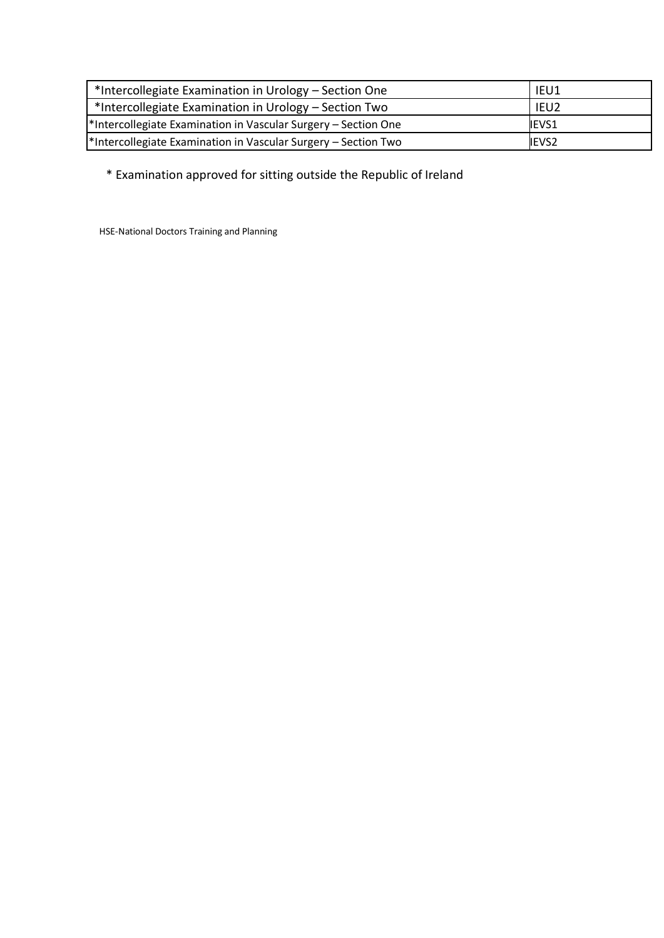| *Intercollegiate Examination in Urology - Section One          | IEU1         |
|----------------------------------------------------------------|--------------|
| *Intercollegiate Examination in Urology - Section Two          | IEU2         |
| *Intercollegiate Examination in Vascular Surgery - Section One | <b>IEVS1</b> |
| *Intercollegiate Examination in Vascular Surgery - Section Two | <b>IEVS2</b> |

\* Examination approved for sitting outside the Republic of Ireland

HSE-National Doctors Training and Planning